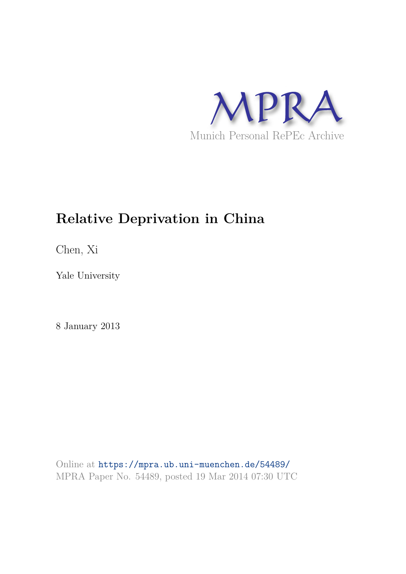

## **Relative Deprivation in China**

Chen, Xi

Yale University

8 January 2013

Online at https://mpra.ub.uni-muenchen.de/54489/ MPRA Paper No. 54489, posted 19 Mar 2014 07:30 UTC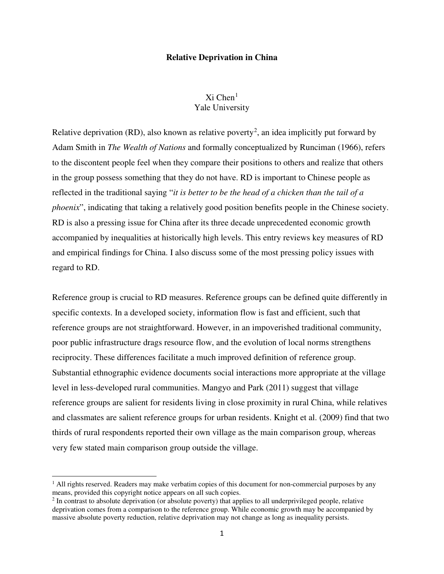## **Relative Deprivation in China**

## $Xi$  Chen<sup>[1](#page-7-0)</sup> Yale University

Relative deprivation (RD), also known as relative poverty<sup>[2](#page-1-0)</sup>, an idea implicitly put forward by Adam Smith in *The Wealth of Nations* and formally conceptualized by Runciman (1966), refers to the discontent people feel when they compare their positions to others and realize that others in the group possess something that they do not have. RD is important to Chinese people as reflected in the traditional saying "*it is better to be the head of a chicken than the tail of a phoenix*", indicating that taking a relatively good position benefits people in the Chinese society. RD is also a pressing issue for China after its three decade unprecedented economic growth accompanied by inequalities at historically high levels. This entry reviews key measures of RD and empirical findings for China. I also discuss some of the most pressing policy issues with regard to RD.

Reference group is crucial to RD measures. Reference groups can be defined quite differently in specific contexts. In a developed society, information flow is fast and efficient, such that reference groups are not straightforward. However, in an impoverished traditional community, poor public infrastructure drags resource flow, and the evolution of local norms strengthens reciprocity. These differences facilitate a much improved definition of reference group. Substantial ethnographic evidence documents social interactions more appropriate at the village level in less-developed rural communities. Mangyo and Park (2011) suggest that village reference groups are salient for residents living in close proximity in rural China, while relatives and classmates are salient reference groups for urban residents. Knight et al. (2009) find that two thirds of rural respondents reported their own village as the main comparison group, whereas very few stated main comparison group outside the village.

 $\overline{a}$ 

 $<sup>1</sup>$  All rights reserved. Readers may make verbatim copies of this document for non-commercial purposes by any</sup> means, provided this copyright notice appears on all such copies.

<span id="page-1-0"></span> $2$  In contrast to absolute deprivation (or absolute poverty) that applies to all underprivileged people, relative deprivation comes from a comparison to the reference group. While economic growth may be accompanied by massive absolute poverty reduction, relative deprivation may not change as long as inequality persists.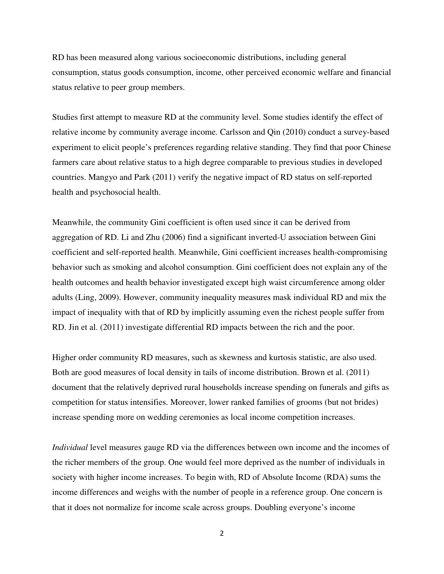RD has been measured along various socioeconomic distributions, including general consumption, status goods consumption, income, other perceived economic welfare and financial status relative to peer group members.

Studies first attempt to measure RD at the community level. Some studies identify the effect of relative income by community average income. Carlsson and Qin (2010) conduct a survey-based experiment to elicit people's preferences regarding relative standing. They find that poor Chinese farmers care about relative status to a high degree comparable to previous studies in developed countries. Mangyo and Park (2011) verify the negative impact of RD status on self-reported health and psychosocial health.

Meanwhile, the community Gini coefficient is often used since it can be derived from aggregation of RD. Li and Zhu (2006) find a significant inverted-U association between Gini coefficient and self-reported health. Meanwhile, Gini coefficient increases health-compromising behavior such as smoking and alcohol consumption. Gini coefficient does not explain any of the health outcomes and health behavior investigated except high waist circumference among older adults (Ling, 2009). However, community inequality measures mask individual RD and mix the impact of inequality with that of RD by implicitly assuming even the richest people suffer from RD. Jin et al. (2011) investigate differential RD impacts between the rich and the poor.

Higher order community RD measures, such as skewness and kurtosis statistic, are also used. Both are good measures of local density in tails of income distribution. Brown et al. (2011) document that the relatively deprived rural households increase spending on funerals and gifts as competition for status intensifies. Moreover, lower ranked families of grooms (but not brides) increase spending more on wedding ceremonies as local income competition increases.

*Individual* level measures gauge RD via the differences between own income and the incomes of the richer members of the group. One would feel more deprived as the number of individuals in society with higher income increases. To begin with, RD of Absolute Income (RDA) sums the income differences and weighs with the number of people in a reference group. One concern is that it does not normalize for income scale across groups. Doubling everyone's income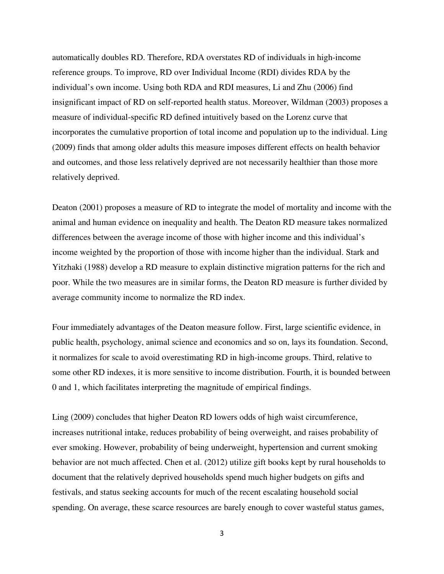automatically doubles RD. Therefore, RDA overstates RD of individuals in high-income reference groups. To improve, RD over Individual Income (RDI) divides RDA by the individual's own income. Using both RDA and RDI measures, Li and Zhu (2006) find insignificant impact of RD on self-reported health status. Moreover, Wildman (2003) proposes a measure of individual-specific RD defined intuitively based on the Lorenz curve that incorporates the cumulative proportion of total income and population up to the individual. Ling (2009) finds that among older adults this measure imposes different effects on health behavior and outcomes, and those less relatively deprived are not necessarily healthier than those more relatively deprived.

Deaton (2001) proposes a measure of RD to integrate the model of mortality and income with the animal and human evidence on inequality and health. The Deaton RD measure takes normalized differences between the average income of those with higher income and this individual's income weighted by the proportion of those with income higher than the individual. Stark and Yitzhaki (1988) develop a RD measure to explain distinctive migration patterns for the rich and poor. While the two measures are in similar forms, the Deaton RD measure is further divided by average community income to normalize the RD index.

Four immediately advantages of the Deaton measure follow. First, large scientific evidence, in public health, psychology, animal science and economics and so on, lays its foundation. Second, it normalizes for scale to avoid overestimating RD in high-income groups. Third, relative to some other RD indexes, it is more sensitive to income distribution. Fourth, it is bounded between 0 and 1, which facilitates interpreting the magnitude of empirical findings.

Ling (2009) concludes that higher Deaton RD lowers odds of high waist circumference, increases nutritional intake, reduces probability of being overweight, and raises probability of ever smoking. However, probability of being underweight, hypertension and current smoking behavior are not much affected. Chen et al. (2012) utilize gift books kept by rural households to document that the relatively deprived households spend much higher budgets on gifts and festivals, and status seeking accounts for much of the recent escalating household social spending. On average, these scarce resources are barely enough to cover wasteful status games,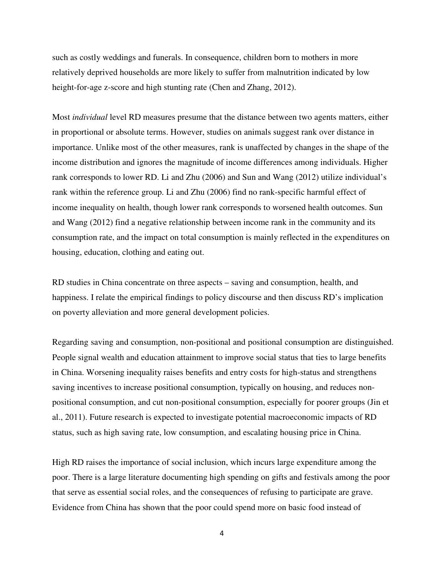such as costly weddings and funerals. In consequence, children born to mothers in more relatively deprived households are more likely to suffer from malnutrition indicated by low height-for-age z-score and high stunting rate (Chen and Zhang, 2012).

Most *individual* level RD measures presume that the distance between two agents matters, either in proportional or absolute terms. However, studies on animals suggest rank over distance in importance. Unlike most of the other measures, rank is unaffected by changes in the shape of the income distribution and ignores the magnitude of income differences among individuals. Higher rank corresponds to lower RD. Li and Zhu (2006) and Sun and Wang (2012) utilize individual's rank within the reference group. Li and Zhu (2006) find no rank-specific harmful effect of income inequality on health, though lower rank corresponds to worsened health outcomes. Sun and Wang (2012) find a negative relationship between income rank in the community and its consumption rate, and the impact on total consumption is mainly reflected in the expenditures on housing, education, clothing and eating out.

RD studies in China concentrate on three aspects – saving and consumption, health, and happiness. I relate the empirical findings to policy discourse and then discuss RD's implication on poverty alleviation and more general development policies.

Regarding saving and consumption, non-positional and positional consumption are distinguished. People signal wealth and education attainment to improve social status that ties to large benefits in China. Worsening inequality raises benefits and entry costs for high-status and strengthens saving incentives to increase positional consumption, typically on housing, and reduces nonpositional consumption, and cut non-positional consumption, especially for poorer groups (Jin et al., 2011). Future research is expected to investigate potential macroeconomic impacts of RD status, such as high saving rate, low consumption, and escalating housing price in China.

High RD raises the importance of social inclusion, which incurs large expenditure among the poor. There is a large literature documenting high spending on gifts and festivals among the poor that serve as essential social roles, and the consequences of refusing to participate are grave. Evidence from China has shown that the poor could spend more on basic food instead of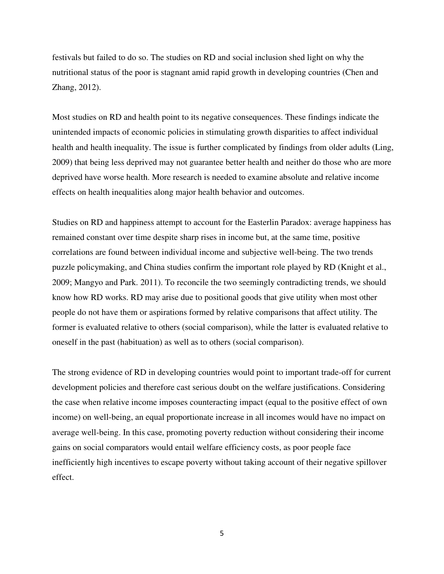festivals but failed to do so. The studies on RD and social inclusion shed light on why the nutritional status of the poor is stagnant amid rapid growth in developing countries (Chen and Zhang, 2012).

Most studies on RD and health point to its negative consequences. These findings indicate the unintended impacts of economic policies in stimulating growth disparities to affect individual health and health inequality. The issue is further complicated by findings from older adults (Ling, 2009) that being less deprived may not guarantee better health and neither do those who are more deprived have worse health. More research is needed to examine absolute and relative income effects on health inequalities along major health behavior and outcomes.

Studies on RD and happiness attempt to account for the Easterlin Paradox: average happiness has remained constant over time despite sharp rises in income but, at the same time, positive correlations are found between individual income and subjective well-being. The two trends puzzle policymaking, and China studies confirm the important role played by RD (Knight et al., 2009; Mangyo and Park. 2011). To reconcile the two seemingly contradicting trends, we should know how RD works. RD may arise due to positional goods that give utility when most other people do not have them or aspirations formed by relative comparisons that affect utility. The former is evaluated relative to others (social comparison), while the latter is evaluated relative to oneself in the past (habituation) as well as to others (social comparison).

The strong evidence of RD in developing countries would point to important trade-off for current development policies and therefore cast serious doubt on the welfare justifications. Considering the case when relative income imposes counteracting impact (equal to the positive effect of own income) on well-being, an equal proportionate increase in all incomes would have no impact on average well-being. In this case, promoting poverty reduction without considering their income gains on social comparators would entail welfare efficiency costs, as poor people face inefficiently high incentives to escape poverty without taking account of their negative spillover effect.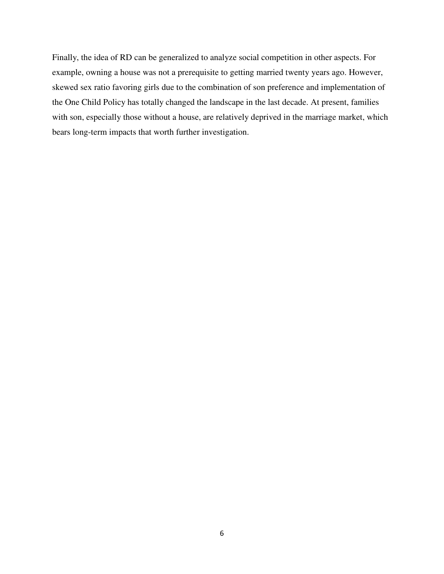Finally, the idea of RD can be generalized to analyze social competition in other aspects. For example, owning a house was not a prerequisite to getting married twenty years ago. However, skewed sex ratio favoring girls due to the combination of son preference and implementation of the One Child Policy has totally changed the landscape in the last decade. At present, families with son, especially those without a house, are relatively deprived in the marriage market, which bears long-term impacts that worth further investigation.